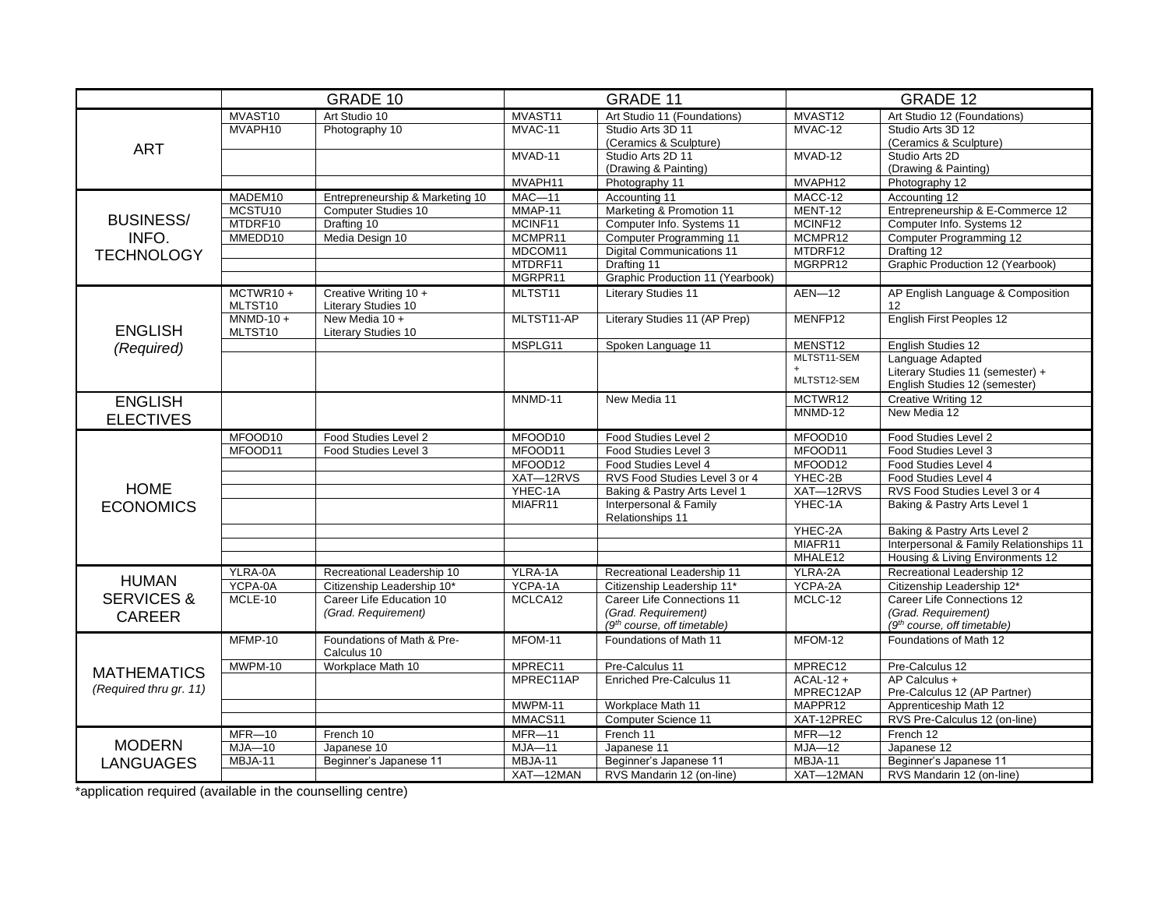|                                              | GRADE 10                             |                                              | <b>GRADE 11</b>                        |                                            | <b>GRADE 12</b> |                                         |  |
|----------------------------------------------|--------------------------------------|----------------------------------------------|----------------------------------------|--------------------------------------------|-----------------|-----------------------------------------|--|
| <b>ART</b>                                   | MVAST <sub>10</sub><br>Art Studio 10 |                                              | MVAST11<br>Art Studio 11 (Foundations) |                                            | MVAST12         | Art Studio 12 (Foundations)             |  |
|                                              | MVAPH10                              | Photography 10                               | MVAC-11                                | Studio Arts 3D 11                          | MVAC-12         | Studio Arts 3D 12                       |  |
|                                              |                                      |                                              |                                        | (Ceramics & Sculpture)                     |                 | (Ceramics & Sculpture)                  |  |
|                                              |                                      |                                              | MVAD-11                                | Studio Arts 2D 11                          | MVAD-12         | Studio Arts 2D                          |  |
|                                              |                                      |                                              |                                        | (Drawing & Painting)                       |                 | (Drawing & Painting)                    |  |
|                                              |                                      |                                              | MVAPH11                                | Photography 11                             | MVAPH12         | Photography 12                          |  |
|                                              | MADEM10                              | Entrepreneurship & Marketing 10              | $MAC-11$                               | Accounting 11                              | MACC-12         | Accounting 12                           |  |
|                                              | MCSTU10                              | <b>Computer Studies 10</b>                   | MMAP-11                                | Marketing & Promotion 11                   | MENT-12         | Entrepreneurship & E-Commerce 12        |  |
| <b>BUSINESS/</b>                             | MTDRF10                              | Drafting 10                                  | MCINF11                                | Computer Info. Systems 11                  | MCINF12         | Computer Info. Systems 12               |  |
| INFO.                                        | MMEDD10                              | Media Design 10                              | MCMPR11                                | <b>Computer Programming 11</b>             | MCMPR12         | <b>Computer Programming 12</b>          |  |
| <b>TECHNOLOGY</b>                            |                                      |                                              | MDCOM11                                | <b>Digital Communications 11</b>           | MTDRF12         | Drafting 12                             |  |
|                                              |                                      |                                              | MTDRF11                                | Drafting 11                                | MGRPR12         | Graphic Production 12 (Yearbook)        |  |
|                                              |                                      |                                              | MGRPR11                                | Graphic Production 11 (Yearbook)           |                 |                                         |  |
|                                              | $MCTWR10 +$<br>MLTST10               | Creative Writing 10 +<br>Literary Studies 10 | MLTST11                                | <b>Literary Studies 11</b>                 | $AEN-12$        | AP English Language & Composition<br>12 |  |
| <b>ENGLISH</b>                               | $MNMD-10 +$<br>MLTST10               | New Media 10 +<br><b>Literary Studies 10</b> | MLTST11-AP                             | Literary Studies 11 (AP Prep)              | MENFP12         | English First Peoples 12                |  |
| (Required)                                   |                                      |                                              | MSPLG11                                | Spoken Language 11                         | MENST12         | English Studies 12                      |  |
|                                              |                                      |                                              |                                        |                                            | MLTST11-SEM     | Language Adapted                        |  |
|                                              |                                      |                                              |                                        |                                            |                 | Literary Studies 11 (semester) +        |  |
|                                              |                                      |                                              |                                        |                                            | MLTST12-SEM     | English Studies 12 (semester)           |  |
| <b>ENGLISH</b>                               |                                      |                                              | MNMD-11                                | New Media 11                               | MCTWR12         | Creative Writing 12                     |  |
| <b>ELECTIVES</b>                             |                                      |                                              |                                        |                                            | MNMD-12         | New Media 12                            |  |
|                                              | MFOOD10                              | Food Studies Level 2                         | MFOOD10                                | Food Studies Level 2                       | MFOOD10         | Food Studies Level 2                    |  |
|                                              | MFOOD11                              | Food Studies Level 3                         | MFOOD11                                | Food Studies Level 3                       | MFOOD11         | Food Studies Level 3                    |  |
|                                              |                                      |                                              | MFOOD12                                | Food Studies Level 4                       | MFOOD12         | Food Studies Level 4                    |  |
|                                              |                                      |                                              | XAT-12RVS                              | RVS Food Studies Level 3 or 4              | YHEC-2B         | Food Studies Level 4                    |  |
| <b>HOME</b>                                  |                                      |                                              | YHEC-1A                                | Baking & Pastry Arts Level 1               | XAT-12RVS       | RVS Food Studies Level 3 or 4           |  |
| <b>ECONOMICS</b>                             |                                      |                                              | MIAFR11                                | Interpersonal & Family<br>Relationships 11 | YHEC-1A         | Baking & Pastry Arts Level 1            |  |
|                                              |                                      |                                              |                                        |                                            | YHEC-2A         | Baking & Pastry Arts Level 2            |  |
|                                              |                                      |                                              |                                        |                                            | MIAFR11         | Interpersonal & Family Relationships 11 |  |
|                                              |                                      |                                              |                                        |                                            | MHALE12         | Housing & Living Environments 12        |  |
| <b>HUMAN</b>                                 | YLRA-0A                              | Recreational Leadership 10                   | YLRA-1A                                | Recreational Leadership 11                 | YLRA-2A         | Recreational Leadership 12              |  |
|                                              | YCPA-0A                              | Citizenship Leadership 10*                   | YCPA-1A                                | Citizenship Leadership 11*                 | YCPA-2A         | Citizenship Leadership 12*              |  |
| <b>SERVICES &amp;</b>                        | MCLE-10                              | Career Life Education 10                     | MCLCA12                                | Career Life Connections 11<br>MCLC-12      |                 | Career Life Connections 12              |  |
| <b>CAREER</b>                                |                                      | (Grad. Requirement)                          |                                        | (Grad. Requirement)                        |                 | (Grad. Requirement)                     |  |
|                                              |                                      |                                              |                                        | (9 <sup>th</sup> course, off timetable)    |                 | (9 <sup>th</sup> course, off timetable) |  |
| <b>MATHEMATICS</b><br>(Required thru gr. 11) | MFMP-10                              | Foundations of Math & Pre-<br>Calculus 10    | MFOM-11                                | Foundations of Math 11                     | MFOM-12         | Foundations of Math 12                  |  |
|                                              | MWPM-10                              | Workplace Math 10                            | MPREC11                                | Pre-Calculus 11                            | MPREC12         | Pre-Calculus 12                         |  |
|                                              |                                      |                                              | MPREC11AP                              | <b>Enriched Pre-Calculus 11</b>            | $ACAL-12 +$     | AP Calculus +                           |  |
|                                              |                                      |                                              |                                        |                                            | MPREC12AP       | Pre-Calculus 12 (AP Partner)            |  |
|                                              |                                      |                                              | MWPM-11                                | Workplace Math 11                          | MAPPR12         | Apprenticeship Math 12                  |  |
|                                              |                                      |                                              | MMACS11                                | Computer Science 11                        | XAT-12PREC      | RVS Pre-Calculus 12 (on-line)           |  |
|                                              | $MFR - 10$                           | French 10                                    | $MFR-11$                               | French 11                                  | $MFR-12$        | French 12                               |  |
| <b>MODERN</b>                                | $MJA-10$                             | Japanese 10                                  | $MJA-11$                               | Japanese 11                                | $MJA-12$        | Japanese 12                             |  |
| <b>LANGUAGES</b>                             | MBJA-11                              | Beginner's Japanese 11                       | MBJA-11                                | Beginner's Japanese 11                     | MBJA-11         | Beginner's Japanese 11                  |  |
|                                              |                                      |                                              | XAT-12MAN                              | RVS Mandarin 12 (on-line)                  | XAT-12MAN       | RVS Mandarin 12 (on-line)               |  |

\*application required (available in the counselling centre)